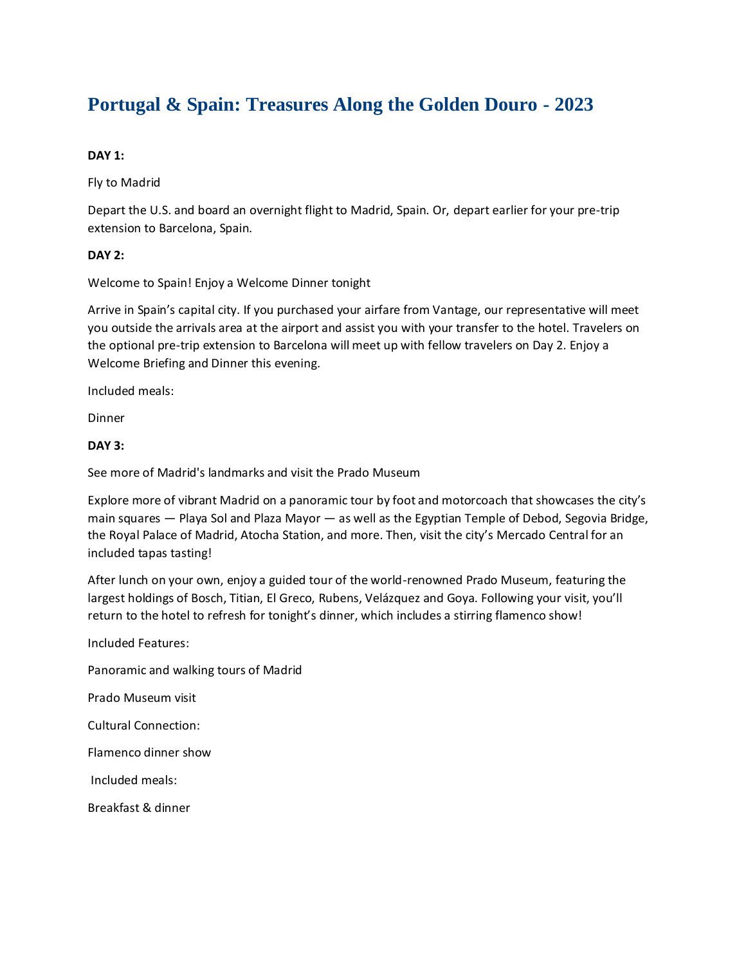# **Portugal & Spain: Treasures Along the Golden Douro - 2023**

# **DAY 1:**

Fly to Madrid

Depart the U.S. and board an overnight flight to Madrid, Spain. Or, depart earlier for your pre-trip extension to Barcelona, Spain.

# **DAY 2:**

Welcome to Spain! Enjoy a Welcome Dinner tonight

Arrive in Spain's capital city. If you purchased your airfare from Vantage, our representative will meet you outside the arrivals area at the airport and assist you with your transfer to the hotel. Travelers on the optional pre-trip extension to Barcelona will meet up with fellow travelers on Day 2. Enjoy a Welcome Briefing and Dinner this evening.

Included meals:

Dinner

# **DAY 3:**

See more of Madrid's landmarks and visit the Prado Museum

Explore more of vibrant Madrid on a panoramic tour by foot and motorcoach that showcases the city's main squares — Playa Sol and Plaza Mayor — as well as the Egyptian Temple of Debod, Segovia Bridge, the Royal Palace of Madrid, Atocha Station, and more. Then, visit the city's Mercado Central for an included tapas tasting!

After lunch on your own, enjoy a guided tour of the world-renowned Prado Museum, featuring the largest holdings of Bosch, Titian, El Greco, Rubens, Velázquez and Goya. Following your visit, you'll return to the hotel to refresh for tonight's dinner, which includes a stirring flamenco show!

Included Features: Panoramic and walking tours of Madrid Prado Museum visit Cultural Connection: Flamenco dinner show Included meals: Breakfast & dinner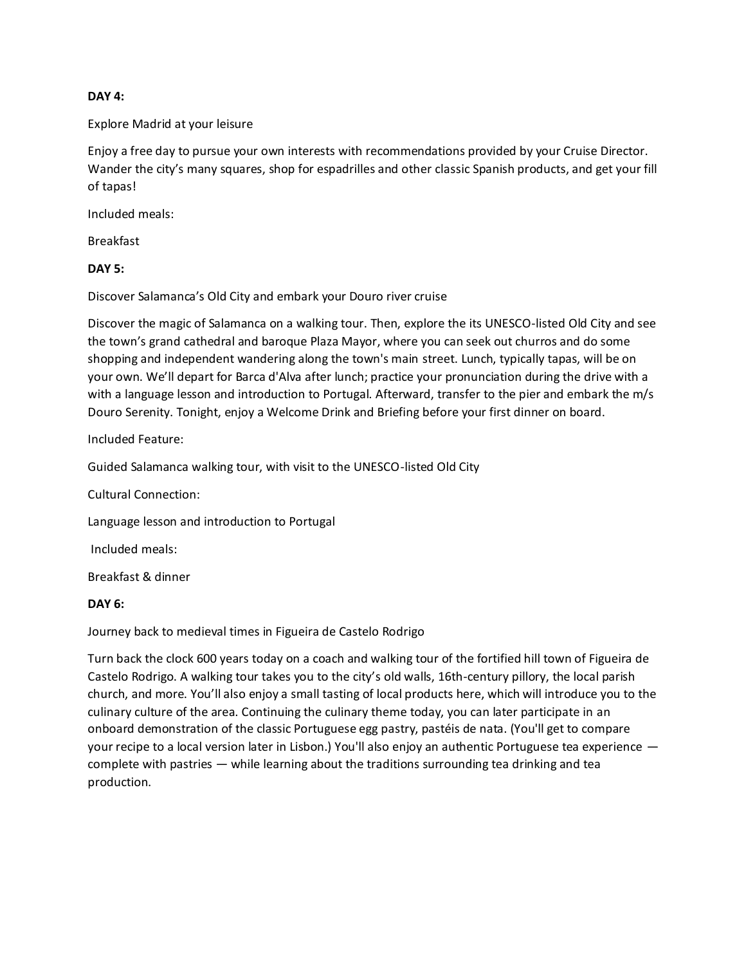### **DAY 4:**

# Explore Madrid at your leisure

Enjoy a free day to pursue your own interests with recommendations provided by your Cruise Director. Wander the city's many squares, shop for espadrilles and other classic Spanish products, and get your fill of tapas!

Included meals:

Breakfast

# **DAY 5:**

Discover Salamanca's Old City and embark your Douro river cruise

Discover the magic of Salamanca on a walking tour. Then, explore the its UNESCO-listed Old City and see the town's grand cathedral and baroque Plaza Mayor, where you can seek out churros and do some shopping and independent wandering along the town's main street. Lunch, typically tapas, will be on your own. We'll depart for Barca d'Alva after lunch; practice your pronunciation during the drive with a with a language lesson and introduction to Portugal. Afterward, transfer to the pier and embark the m/s Douro Serenity. Tonight, enjoy a Welcome Drink and Briefing before your first dinner on board.

Included Feature:

Guided Salamanca walking tour, with visit to the UNESCO-listed Old City

Cultural Connection:

Language lesson and introduction to Portugal

Included meals:

Breakfast & dinner

#### **DAY 6:**

Journey back to medieval times in Figueira de Castelo Rodrigo

Turn back the clock 600 years today on a coach and walking tour of the fortified hill town of Figueira de Castelo Rodrigo. A walking tour takes you to the city's old walls, 16th-century pillory, the local parish church, and more. You'll also enjoy a small tasting of local products here, which will introduce you to the culinary culture of the area. Continuing the culinary theme today, you can later participate in an onboard demonstration of the classic Portuguese egg pastry, pastéis de nata. (You'll get to compare your recipe to a local version later in Lisbon.) You'll also enjoy an authentic Portuguese tea experience complete with pastries — while learning about the traditions surrounding tea drinking and tea production.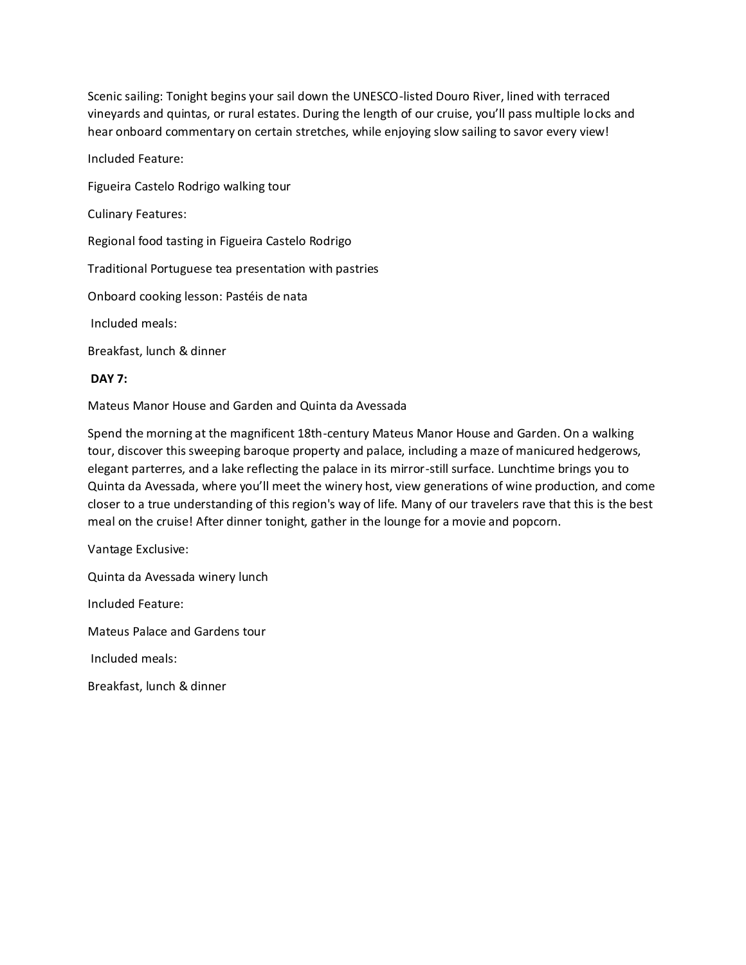Scenic sailing: Tonight begins your sail down the UNESCO-listed Douro River, lined with terraced vineyards and quintas, or rural estates. During the length of our cruise, you'll pass multiple locks and hear onboard commentary on certain stretches, while enjoying slow sailing to savor every view!

Included Feature:

Figueira Castelo Rodrigo walking tour

Culinary Features:

Regional food tasting in Figueira Castelo Rodrigo

Traditional Portuguese tea presentation with pastries

Onboard cooking lesson: Pastéis de nata

Included meals:

Breakfast, lunch & dinner

# **DAY 7:**

Mateus Manor House and Garden and Quinta da Avessada

Spend the morning at the magnificent 18th-century Mateus Manor House and Garden. On a walking tour, discover this sweeping baroque property and palace, including a maze of manicured hedgerows, elegant parterres, and a lake reflecting the palace in its mirror-still surface. Lunchtime brings you to Quinta da Avessada, where you'll meet the winery host, view generations of wine production, and come closer to a true understanding of this region's way of life. Many of our travelers rave that this is the best meal on the cruise! After dinner tonight, gather in the lounge for a movie and popcorn.

Vantage Exclusive:

Quinta da Avessada winery lunch

Included Feature:

Mateus Palace and Gardens tour

Included meals:

Breakfast, lunch & dinner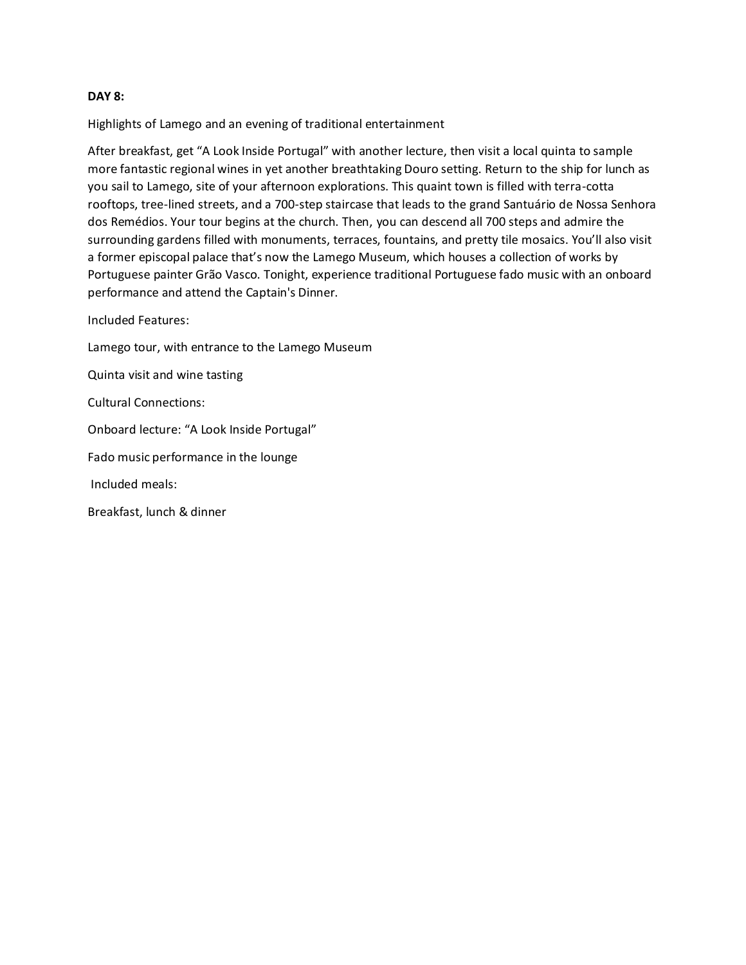#### **DAY 8:**

Highlights of Lamego and an evening of traditional entertainment

After breakfast, get "A Look Inside Portugal" with another lecture, then visit a local quinta to sample more fantastic regional wines in yet another breathtaking Douro setting. Return to the ship for lunch as you sail to Lamego, site of your afternoon explorations. This quaint town is filled with terra-cotta rooftops, tree-lined streets, and a 700-step staircase that leads to the grand Santuário de Nossa Senhora dos Remédios. Your tour begins at the church. Then, you can descend all 700 steps and admire the surrounding gardens filled with monuments, terraces, fountains, and pretty tile mosaics. You'll also visit a former episcopal palace that's now the Lamego Museum, which houses a collection of works by Portuguese painter Grão Vasco. Tonight, experience traditional Portuguese fado music with an onboard performance and attend the Captain's Dinner.

Included Features:

Lamego tour, with entrance to the Lamego Museum

Quinta visit and wine tasting

Cultural Connections:

Onboard lecture: "A Look Inside Portugal"

Fado music performance in the lounge

Included meals:

Breakfast, lunch & dinner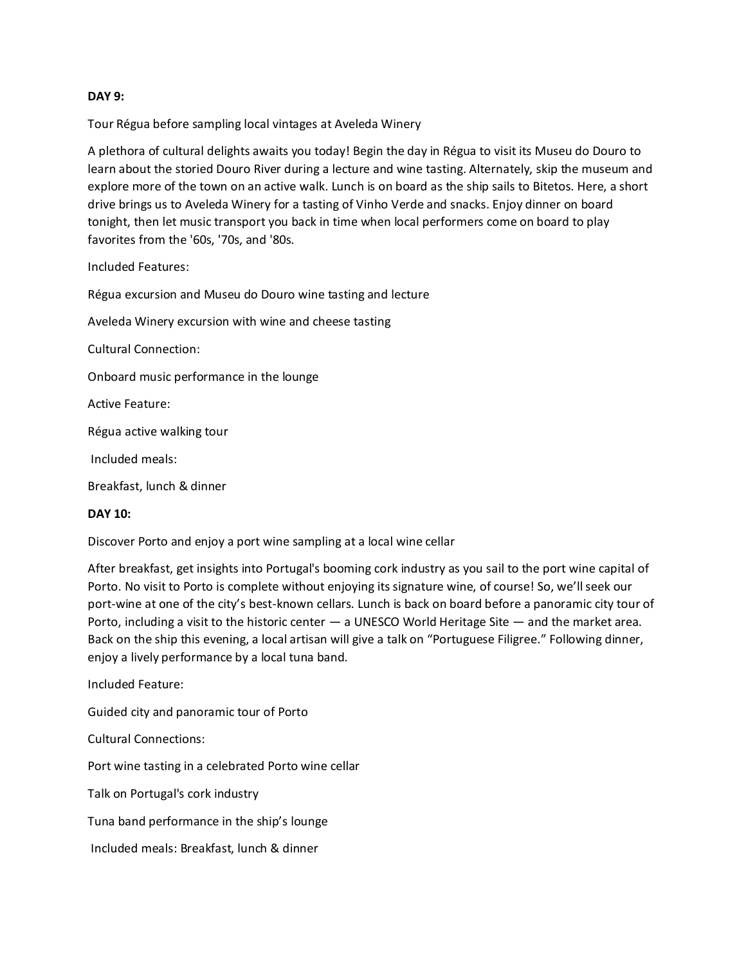# **DAY 9:**

Tour Régua before sampling local vintages at Aveleda Winery

A plethora of cultural delights awaits you today! Begin the day in Régua to visit its Museu do Douro to learn about the storied Douro River during a lecture and wine tasting. Alternately, skip the museum and explore more of the town on an active walk. Lunch is on board as the ship sails to Bitetos. Here, a short drive brings us to Aveleda Winery for a tasting of Vinho Verde and snacks. Enjoy dinner on board tonight, then let music transport you back in time when local performers come on board to play favorites from the '60s, '70s, and '80s.

Included Features:

Régua excursion and Museu do Douro wine tasting and lecture Aveleda Winery excursion with wine and cheese tasting Cultural Connection: Onboard music performance in the lounge Active Feature: Régua active walking tour Included meals: Breakfast, lunch & dinner

# **DAY 10:**

Discover Porto and enjoy a port wine sampling at a local wine cellar

After breakfast, get insights into Portugal's booming cork industry as you sail to the port wine capital of Porto. No visit to Porto is complete without enjoying its signature wine, of course! So, we'll seek our port-wine at one of the city's best-known cellars. Lunch is back on board before a panoramic city tour of Porto, including a visit to the historic center — a UNESCO World Heritage Site — and the market area. Back on the ship this evening, a local artisan will give a talk on "Portuguese Filigree." Following dinner, enjoy a lively performance by a local tuna band.

Included Feature:

Guided city and panoramic tour of Porto

Cultural Connections:

Port wine tasting in a celebrated Porto wine cellar

Talk on Portugal's cork industry

Tuna band performance in the ship's lounge

Included meals: Breakfast, lunch & dinner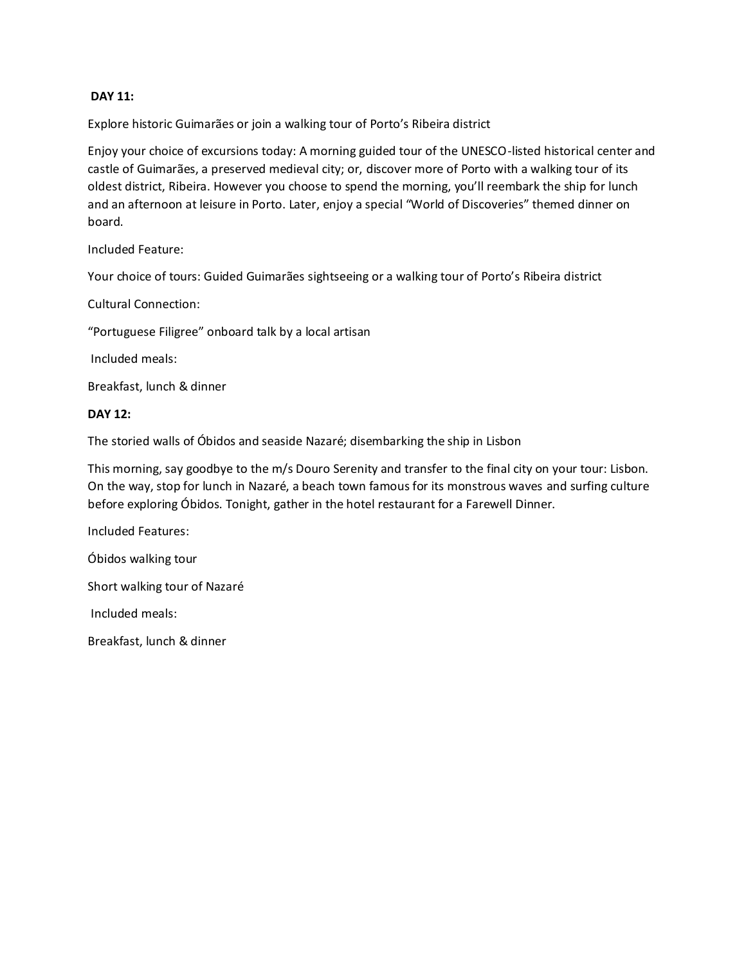# **DAY 11:**

Explore historic Guimarães or join a walking tour of Porto's Ribeira district

Enjoy your choice of excursions today: A morning guided tour of the UNESCO-listed historical center and castle of Guimarães, a preserved medieval city; or, discover more of Porto with a walking tour of its oldest district, Ribeira. However you choose to spend the morning, you'll reembark the ship for lunch and an afternoon at leisure in Porto. Later, enjoy a special "World of Discoveries" themed dinner on board.

Included Feature:

Your choice of tours: Guided Guimarães sightseeing or a walking tour of Porto's Ribeira district

Cultural Connection:

"Portuguese Filigree" onboard talk by a local artisan

Included meals:

Breakfast, lunch & dinner

#### **DAY 12:**

The storied walls of Óbidos and seaside Nazaré; disembarking the ship in Lisbon

This morning, say goodbye to the m/s Douro Serenity and transfer to the final city on your tour: Lisbon. On the way, stop for lunch in Nazaré, a beach town famous for its monstrous waves and surfing culture before exploring Óbidos. Tonight, gather in the hotel restaurant for a Farewell Dinner.

Included Features:

Óbidos walking tour

Short walking tour of Nazaré

Included meals:

Breakfast, lunch & dinner